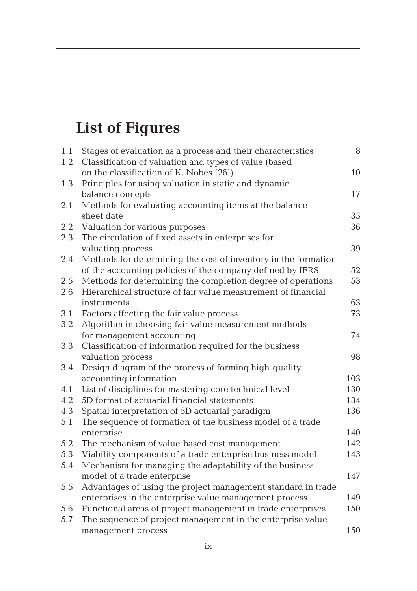## **List of Figures**

| 1.1     | Stages of evaluation as a process and their characteristics    | 8   |
|---------|----------------------------------------------------------------|-----|
| 1.2     | Classification of valuation and types of value (based          |     |
|         | on the classification of K. Nobes [26])                        | 10  |
| 1.3     | Principles for using valuation in static and dynamic           |     |
|         | balance concepts                                               | 17  |
| 2.1     | Methods for evaluating accounting items at the balance         |     |
|         | sheet date                                                     | 35  |
| 2.2     | Valuation for various purposes                                 | 36  |
| 2.3     | The circulation of fixed assets in enterprises for             |     |
|         | valuating process                                              | 39  |
| 2.4     | Methods for determining the cost of inventory in the formation |     |
|         | of the accounting policies of the company defined by IFRS      | 52  |
| 2.5     | Methods for determining the completion degree of operations    | 53  |
| 2.6     | Hierarchical structure of fair value measurement of financial  |     |
|         | instruments                                                    | 63  |
| 3.1     | Factors affecting the fair value process                       | 73  |
| $3.2\,$ | Algorithm in choosing fair value measurement methods           |     |
|         | for management accounting                                      | 74  |
| 3.3     | Classification of information required for the business        |     |
|         | valuation process                                              | 98  |
| 3.4     | Design diagram of the process of forming high-quality          |     |
|         | accounting information                                         | 103 |
| 4.1     | List of disciplines for mastering core technical level         | 130 |
| 4.2     | 5D format of actuarial financial statements                    | 134 |
| 4.3     | Spatial interpretation of 5D actuarial paradigm                | 136 |
| 5.1     | The sequence of formation of the business model of a trade     |     |
|         | enterprise                                                     | 140 |
| 5.2     | The mechanism of value-based cost management                   | 142 |
| 5.3     | Viability components of a trade enterprise business model      | 143 |
| 5.4     | Mechanism for managing the adaptability of the business        |     |
|         | model of a trade enterprise                                    | 147 |
| 5.5     | Advantages of using the project management standard in trade   |     |
|         | enterprises in the enterprise value management process         | 149 |
| 5.6     | Functional areas of project management in trade enterprises    | 150 |
| 5.7     | The sequence of project management in the enterprise value     |     |
|         | management process                                             | 150 |